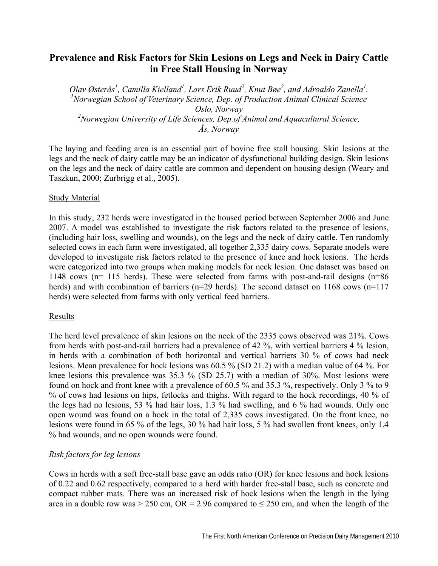# **Prevalence and Risk Factors for Skin Lesions on Legs and Neck in Dairy Cattle in Free Stall Housing in Norway**

*Olav Østerås<sup>1</sup>, Camilla Kielland<sup>1</sup>, Lars Erik Ruud<sup>2</sup>, Knut Bøe<sup>2</sup>, and Adroaldo Zanella<sup>1</sup>.<br><sup>1</sup>Norwegian Sekool of Veterinam Seignee, Dep. of Production Animal Clinical Seignee. Norwegian School of Veterinary Science, Dep. of Production Animal Clinical Science Oslo, Norway*  <sup>2</sup> Norwegian University of Life Sciences, Dep.of Animal and Aquacultural Science, *Ås, Norway* 

The laying and feeding area is an essential part of bovine free stall housing. Skin lesions at the legs and the neck of dairy cattle may be an indicator of dysfunctional building design. Skin lesions on the legs and the neck of dairy cattle are common and dependent on housing design (Weary and Taszkun, 2000; Zurbrigg et al., 2005).

#### Study Material

In this study, 232 herds were investigated in the housed period between September 2006 and June 2007. A model was established to investigate the risk factors related to the presence of lesions, (including hair loss, swelling and wounds), on the legs and the neck of dairy cattle. Ten randomly selected cows in each farm were investigated, all together 2,335 dairy cows. Separate models were developed to investigate risk factors related to the presence of knee and hock lesions. The herds were categorized into two groups when making models for neck lesion. One dataset was based on 1148 cows (n= 115 herds). These were selected from farms with post-and-rail designs (n=86 herds) and with combination of barriers (n=29 herds). The second dataset on 1168 cows (n=117 herds) were selected from farms with only vertical feed barriers.

## Results

The herd level prevalence of skin lesions on the neck of the 2335 cows observed was 21%. Cows from herds with post-and-rail barriers had a prevalence of 42 %, with vertical barriers 4 % lesion, in herds with a combination of both horizontal and vertical barriers 30 % of cows had neck lesions. Mean prevalence for hock lesions was 60.5 % (SD 21.2) with a median value of 64 %. For knee lesions this prevalence was 35.3 % (SD 25.7) with a median of 30%. Most lesions were found on hock and front knee with a prevalence of 60.5 % and 35.3 %, respectively. Only 3 % to 9 % of cows had lesions on hips, fetlocks and thighs. With regard to the hock recordings, 40 % of the legs had no lesions, 53 % had hair loss, 1.3 % had swelling, and 6 % had wounds. Only one open wound was found on a hock in the total of 2,335 cows investigated. On the front knee, no lesions were found in 65 % of the legs, 30 % had hair loss, 5 % had swollen front knees, only 1.4 % had wounds, and no open wounds were found.

## *Risk factors for leg lesions*

Cows in herds with a soft free-stall base gave an odds ratio (OR) for knee lesions and hock lesions of 0.22 and 0.62 respectively, compared to a herd with harder free-stall base, such as concrete and compact rubber mats. There was an increased risk of hock lesions when the length in the lying area in a double row was > 250 cm,  $OR = 2.96$  compared to  $\leq$  250 cm, and when the length of the